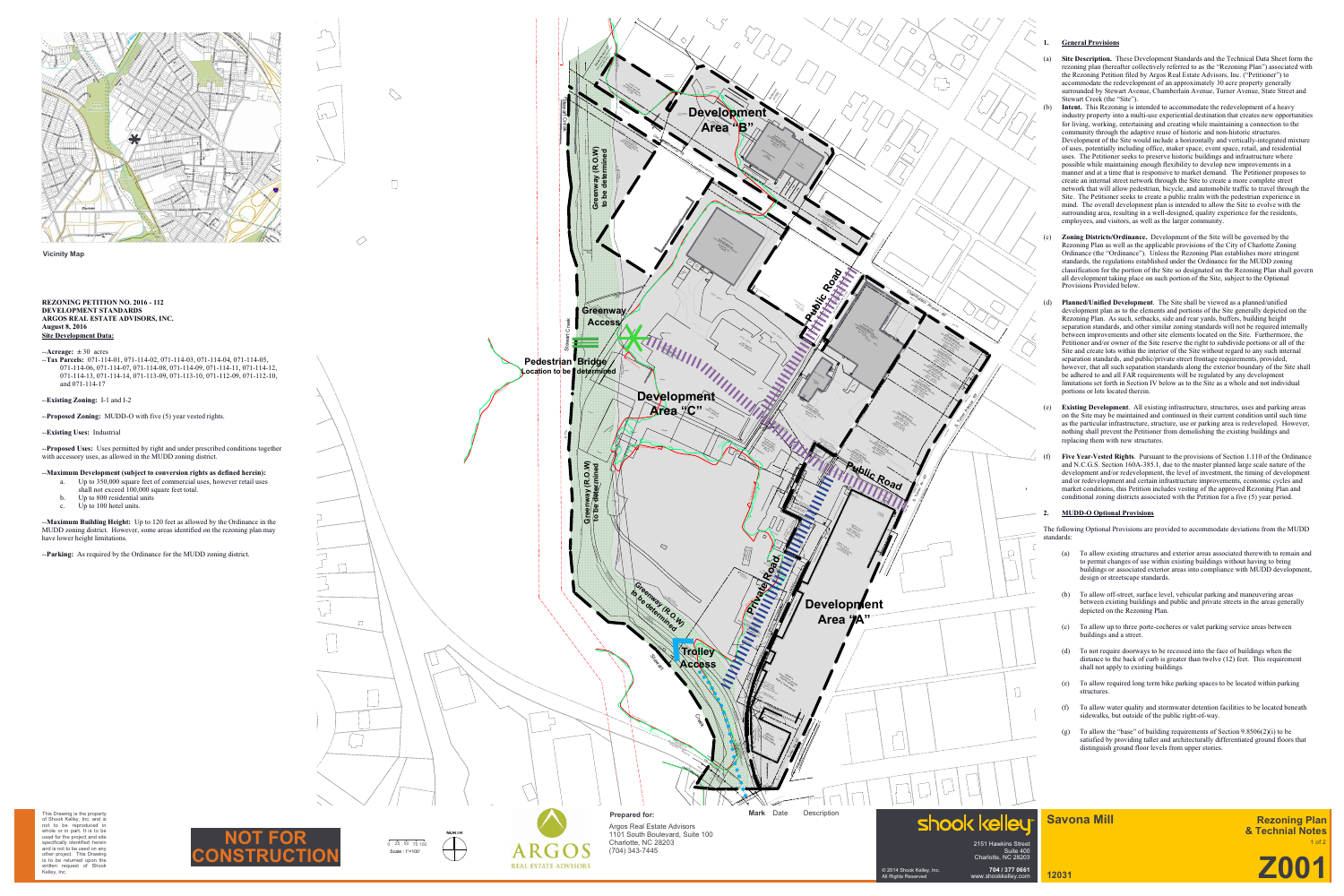

 $\begin{matrix} \end{matrix}$  $\sqrt{ }$  $\Box$ 

 $\Diamond$ 

 $\overline{\phantom{0}}$ 

 $\overbrace{\hspace{27mm}}^{}$ 

 $\Box$ 

(DB 5645 Pg. 189) City of Charlotte RNV

(vacant 9 MB 33) #400S. Turner Ave

Tax # 071-114-06 DB 10886 Pg10

Carolina Paper Board Corporation Caraustar Mill Group<br>Caraustar Mill Group<br>Da Tomer Mill Group<br>Tock Group Group

DB 8679 Party MI 1407<br>1 Block B 79 Party DULL<br>1 Block B 79 Party DULL<br>600 PM . MB 32, Part B

(ka Carolina Paper Board Corporation)<br>Corporation Paper Board Corporation)<br>Corporation Paper Board Corporation) Caraustar Mill Group Lot 1 Block 9 MB 322 Pg

Tax # 071-114-07

15'DRAINAGE PERMANENT  $\mathscr{L}$ DB 8792-248

l s

public RM

 $\hat{j}'$ 

pavement edge

curb cut

p<sub>ublic RW</sub>

- **Site Description.** These Development Standards and the Technical Data Sheet form the rezoning plan (hereafter collectively referred to as the "Rezoning Plan") associated with the Rezoning Petition filed by Argos Real Estate Advisors, Inc. ("Petitioner") to accommodate the redevelopment of an approximately 30 acre property generally surrounded by Stewart Avenue, Chamberlain Avenue, Turner Avenue, State Street and Stewart Creek (the "Site").
- **Intent.** This Rezoning is intended to accommodate the redevelopment of a heavy industry property into a multi-use experiential destination that creates new opportunities for living, working, entertaining and creating while maintaining a connection to the community through the adaptive reuse of historic and non-historic structures. Development of the Site would include a horizontally and vertically-integrated mixture of uses, potentially including office, maker space, event space, retail, and residential uses. The Petitioner seeks to preserve historic buildings and infrastructure where possible while maintaining enough flexibility to develop new improvements in a manner and at a time that is responsive to market demand. The Petitioner proposes to create an internal street network through the Site to create a more complete street network that will allow pedestrian, bicycle, and automobile traffic to travel through the Site. The Petitioner seeks to create a public realm with the pedestrian experience in mind. The overall development plan is intended to allow the Site to evolve with the surrounding area, resulting in a well-designed, quality experience for the residents, employees, and visitors, as well as the larger community.
- (c) **Zoning Districts/Ordinance.** Development of the Site will be governed by the Rezoning Plan as well as the applicable provisions of the City of Charlotte Zoning Ordinance (the "Ordinance"). Unless the Rezoning Plan establishes more stringent standards, the regulations established under the Ordinance for the MUDD zoning classification for the portion of the Site so designated on the Rezoning Plan shall govern all development taking place on such portion of the Site, subject to the Optional Provisions Provided below.
- **Planned/Unified Development**. The Site shall be viewed as a planned/unified development plan as to the elements and portions of the Site generally depicted on the Rezoning Plan. As such, setbacks, side and rear yards, buffers, building height separation standards, and other similar zoning standards will not be required internally between improvements and other site elements located on the Site. Furthermore, the Petitioner and/or owner of the Site reserve the right to subdivide portions or all of the Site and create lots within the interior of the Site without regard to any such internal separation standards, and public/private street frontage requirements, provided, however, that all such separation standards along the exterior boundary of the Site shall be adhered to and all FAR requirements will be regulated by any development limitations set forth in Section IV below as to the Site as a whole and not individual portions or lots located therein.
- (e) **Existing Development**. All existing infrastructure, structures, uses and parking areas on the Site may be maintained and continued in their current condition until such time as the particular infrastructure, structure, use or parking area is redeveloped. However, nothing shall prevent the Petitioner from demolishing the existing buildings and replacing them with new structures.
- **Five Year-Vested Rights**. Pursuant to the provisions of Section 1.110 of the Ordinance and N.C.G.S. Section 160A-385.1, due to the master planned large scale nature of the development and/or redevelopment, the level of investment, the timing of development and/or redevelopment and certain infrastructure improvements, economic cycles and market conditions, this Petition includes vesting of the approved Rezoning Plan and conditional zoning districts associated with the Petition for a five (5) year period.



3

(vacant 9 MB 3)

**Z001**

# **Savona Mill**

**12031**

2151 Hawkins Street

 $\Box$ 

15' PERMANENT DRAINAGE ESMANG DB 8792-244

S. Turner Avenue 40's 1999

Mapas

Suite 400 Charlotte, NC 28203



**704 / 377 0661** www.shookkelley.com





 $0\quad 25\quad 50\quad 75\quad 100$ 



#### **Vicinity Map**

#### **1. General Provisions**

#### **2. MUDD-O Optional Provisions**

The following Optional Provisions are provided to accommodate deviations from the MUDD standards:

- (a) To allow existing structures and exterior areas associated therewith to remain and to permit changes of use within existing buildings without having to bring buildings or associated exterior areas into compliance with MUDD development, design or streetscape standards.
- (b) To allow off-street, surface level, vehicular parking and maneuvering areas between existing buildings and public and private streets in the areas generally depicted on the Rezoning Plan.
- (c) To allow up to three porte-cocheres or valet parking service areas between buildings and a street.
- (d) To not require doorways to be recessed into the face of buildings when the distance to the back of curb is greater than twelve (12) feet. This requirement shall not apply to existing buildings.
- (e) To allow required long term bike parking spaces to be located within parking structures.
- (f) To allow water quality and stormwater detention facilities to be located beneath sidewalks, but outside of the public right-of-way.
- (g) To allow the "base" of building requirements of Section 9.8506(2)(i) to be satisfied by providing taller and architecturally differentiated ground floors that distinguish ground floor levels from upper stories.

#### **REZONING PETITION NO. 2016 - 112 DEVELOPMENT STANDARDS ARGOS REAL ESTATE ADVISORS, INC. August 8, 2016 Site Development Data:**

 $-$ **Acreage:**  $\pm 30$  acres

- --**Tax Parcels:** 071-114-01, 071-114-02, 071-114-03, 071-114-04, 071-114-05, 071-114-06, 071-114-07, 071-114-08, 071-114-09, 071-114-11, 071-114-12, 071-114-13, 071-114-14, 071-113-09, 071-113-10, 071-112-09, 071-112-10, and 071-114-17
- --**Existing Zoning:** I-1 and I-2
- --**Proposed Zoning:** MUDD-O with five (5) year vested rights.
- --**Existing Uses:** Industrial

--**Proposed Uses:** Uses permitted by right and under prescribed conditions together with accessory uses, as allowed in the MUDD zoning district.

- --**Maximum Development (subject to conversion rights as defined herein):** a. Up to 350,000 square feet of commercial uses, however retail uses
	- shall not exceed 100,000 square feet total.
	- Up to 800 residential units
	- c. Up to 100 hotel units.

--**Maximum Building Height:** Up to 120 feet as allowed by the Ordinance in the MUDD zoning district. However, some areas identified on the rezoning plan may have lower height limitations.

--**Parking:** As required by the Ordinance for the MUDD zoning district.